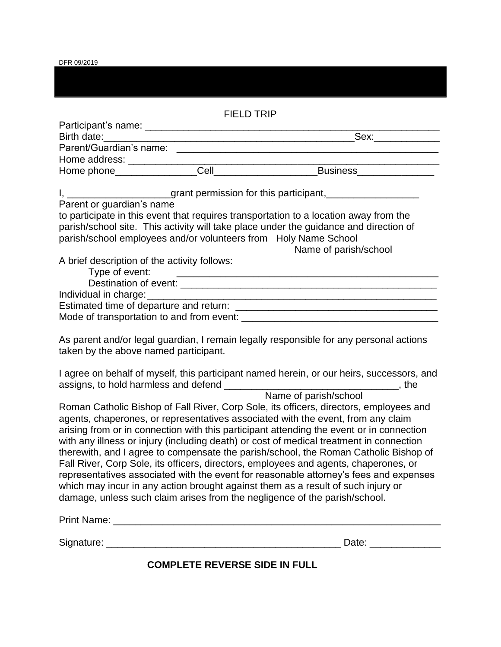DFR 09/2019

| <b>FIELD TRIP</b>                                                                                                                                                                                                                                                          |  |                                                                                                                                                                                                                                                                                                                                                                                                                                                                                                                                                                                                                                                                                                                                                                                                                                       |  |  |
|----------------------------------------------------------------------------------------------------------------------------------------------------------------------------------------------------------------------------------------------------------------------------|--|---------------------------------------------------------------------------------------------------------------------------------------------------------------------------------------------------------------------------------------------------------------------------------------------------------------------------------------------------------------------------------------------------------------------------------------------------------------------------------------------------------------------------------------------------------------------------------------------------------------------------------------------------------------------------------------------------------------------------------------------------------------------------------------------------------------------------------------|--|--|
|                                                                                                                                                                                                                                                                            |  |                                                                                                                                                                                                                                                                                                                                                                                                                                                                                                                                                                                                                                                                                                                                                                                                                                       |  |  |
|                                                                                                                                                                                                                                                                            |  |                                                                                                                                                                                                                                                                                                                                                                                                                                                                                                                                                                                                                                                                                                                                                                                                                                       |  |  |
|                                                                                                                                                                                                                                                                            |  |                                                                                                                                                                                                                                                                                                                                                                                                                                                                                                                                                                                                                                                                                                                                                                                                                                       |  |  |
|                                                                                                                                                                                                                                                                            |  |                                                                                                                                                                                                                                                                                                                                                                                                                                                                                                                                                                                                                                                                                                                                                                                                                                       |  |  |
|                                                                                                                                                                                                                                                                            |  |                                                                                                                                                                                                                                                                                                                                                                                                                                                                                                                                                                                                                                                                                                                                                                                                                                       |  |  |
|                                                                                                                                                                                                                                                                            |  | I, _______________________grant permission for this participant, _______________                                                                                                                                                                                                                                                                                                                                                                                                                                                                                                                                                                                                                                                                                                                                                      |  |  |
| Parent or guardian's name                                                                                                                                                                                                                                                  |  |                                                                                                                                                                                                                                                                                                                                                                                                                                                                                                                                                                                                                                                                                                                                                                                                                                       |  |  |
| to participate in this event that requires transportation to a location away from the<br>parish/school site. This activity will take place under the guidance and direction of<br>parish/school employees and/or volunteers from Holy Name School<br>Name of parish/school |  |                                                                                                                                                                                                                                                                                                                                                                                                                                                                                                                                                                                                                                                                                                                                                                                                                                       |  |  |
| A brief description of the activity follows:<br>Type of event:                                                                                                                                                                                                             |  | <u> 1989 - Andrea Andrew Maria (h. 1989).</u><br>1905 - Andrew Maria (h. 1989).                                                                                                                                                                                                                                                                                                                                                                                                                                                                                                                                                                                                                                                                                                                                                       |  |  |
|                                                                                                                                                                                                                                                                            |  |                                                                                                                                                                                                                                                                                                                                                                                                                                                                                                                                                                                                                                                                                                                                                                                                                                       |  |  |
|                                                                                                                                                                                                                                                                            |  |                                                                                                                                                                                                                                                                                                                                                                                                                                                                                                                                                                                                                                                                                                                                                                                                                                       |  |  |
|                                                                                                                                                                                                                                                                            |  |                                                                                                                                                                                                                                                                                                                                                                                                                                                                                                                                                                                                                                                                                                                                                                                                                                       |  |  |
| taken by the above named participant.                                                                                                                                                                                                                                      |  | As parent and/or legal guardian, I remain legally responsible for any personal actions<br>I agree on behalf of myself, this participant named herein, or our heirs, successors, and                                                                                                                                                                                                                                                                                                                                                                                                                                                                                                                                                                                                                                                   |  |  |
|                                                                                                                                                                                                                                                                            |  |                                                                                                                                                                                                                                                                                                                                                                                                                                                                                                                                                                                                                                                                                                                                                                                                                                       |  |  |
|                                                                                                                                                                                                                                                                            |  | Name of parish/school<br>Roman Catholic Bishop of Fall River, Corp Sole, its officers, directors, employees and<br>agents, chaperones, or representatives associated with the event, from any claim<br>arising from or in connection with this participant attending the event or in connection<br>with any illness or injury (including death) or cost of medical treatment in connection<br>therewith, and I agree to compensate the parish/school, the Roman Catholic Bishop of<br>Fall River, Corp Sole, its officers, directors, employees and agents, chaperones, or<br>representatives associated with the event for reasonable attorney's fees and expenses<br>which may incur in any action brought against them as a result of such injury or<br>damage, unless such claim arises from the negligence of the parish/school. |  |  |
|                                                                                                                                                                                                                                                                            |  |                                                                                                                                                                                                                                                                                                                                                                                                                                                                                                                                                                                                                                                                                                                                                                                                                                       |  |  |
|                                                                                                                                                                                                                                                                            |  | Date: _____________                                                                                                                                                                                                                                                                                                                                                                                                                                                                                                                                                                                                                                                                                                                                                                                                                   |  |  |

**COMPLETE REVERSE SIDE IN FULL**